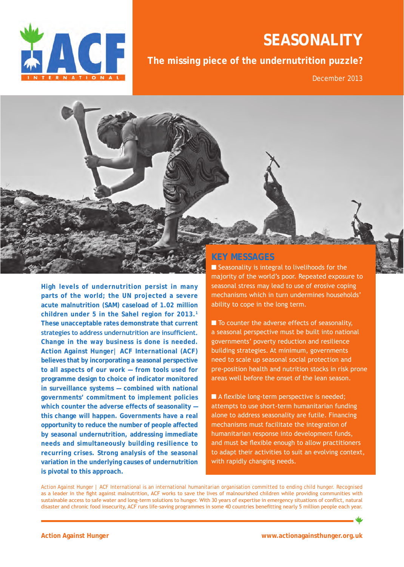

# **seasonality**

**The missing piece of the undernutrition puzzle?**

December 2013

**High levels of undernutrition persist in many parts of the world; the UN projected a severe acute malnutrition (SAM) caseload of 1.02 million children under 5 in the Sahel region for 2013.1 These unacceptable rates demonstrate that current strategies to address undernutrition are insufficient. Change in the way business is done is needed. Action Against Hunger| ACF International (ACF) believes that by incorporating a seasonal perspective to all aspects of our work — from tools used for programme design to choice of indicator monitored in surveillance systems — combined with national governments' commitment to implement policies which counter the adverse effects of seasonality this change will happen. Governments have a real opportunity to reduce the number of people affected by seasonal undernutrition, addressing immediate needs and simultaneously building resilience to recurring crises. Strong analysis of the seasonal variation in the underlying causes of undernutrition is pivotal to this approach.** 

## **Key messages**

 $\blacksquare$  Seasonality is integral to livelihoods for the majority of the world's poor. Repeated exposure to seasonal stress may lead to use of erosive coping mechanisms which in turn undermines households' ability to cope in the long term.

 $\blacksquare$  To counter the adverse effects of seasonality, a seasonal perspective must be built into national governments' poverty reduction and resilience building strategies. At minimum, governments need to scale up seasonal social protection and pre-position health and nutrition stocks in risk prone areas well before the onset of the lean season.

 $\blacksquare$  A flexible long-term perspective is needed; attempts to use short-term humanitarian funding alone to address seasonality are futile. Financing mechanisms must facilitate the integration of humanitarian response into development funds, and must be flexible enough to allow practitioners to adapt their activities to suit an evolving context, with rapidly changing needs.

Action Against Hunger | ACF International is an international humanitarian organisation committed to ending child hunger. Recognised as a leader in the fight against malnutrition, ACF works to save the lives of malnourished children while providing communities with sustainable access to safe water and long-term solutions to hunger. With 30 years of expertise in emergency situations of conflict, natural disaster and chronic food insecurity, ACF runs life-saving programmes in some 40 countries benefitting nearly 5 million people each year.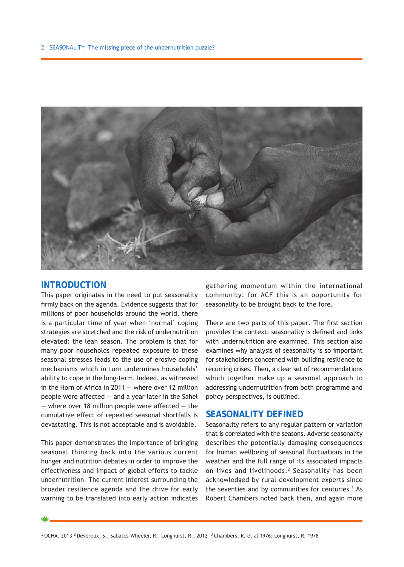

## **Introduction**

This paper originates in the need to put seasonality firmly back on the agenda. Evidence suggests that for millions of poor households around the world, there is a particular time of year when 'normal' coping strategies are stretched and the risk of undernutrition elevated: the lean season. The problem is that for many poor households repeated exposure to these seasonal stresses leads to the use of erosive coping mechanisms which in turn undermines households' ability to cope in the long-term. Indeed, as witnessed in the Horn of Africa in 2011 — where over 12 million people were affected — and a year later in the Sahel  $-$  where over 18 million people were affected  $-$  the cumulative effect of repeated seasonal shortfalls is devastating. This is not acceptable and is avoidable.

This paper demonstrates the importance of bringing seasonal thinking back into the various current hunger and nutrition debates in order to improve the effectiveness and impact of global efforts to tackle undernutrition. The current interest surrounding the broader resilience agenda and the drive for early warning to be translated into early action indicates

gathering momentum within the international community; for ACF this is an opportunity for seasonality to be brought back to the fore.

There are two parts of this paper. The first section provides the context: seasonality is defined and links with undernutrition are examined. This section also examines why analysis of seasonality is so important for stakeholders concerned with building resilience to recurring crises. Then, a clear set of recommendations which together make up a seasonal approach to addressing undernutrition from both programme and policy perspectives, is outlined.

## **Seasonality defined**

Seasonality refers to any regular pattern or variation that is correlated with the seasons. Adverse seasonality describes the potentially damaging consequences for human wellbeing of seasonal fluctuations in the weather and the full range of its associated impacts on lives and livelihoods.<sup>2</sup> Seasonality has been acknowledged by rural development experts since the seventies and by communities for centuries.<sup>3</sup> As Robert Chambers noted back then, and again more

<sup>1</sup> OCHA, 2013 <sup>2</sup> Devereux, S., Sabates-Wheeler, R., Longhurst, R., 2012 <sup>3</sup> Chambers, R. et al 1976; Longhurst, R. 1978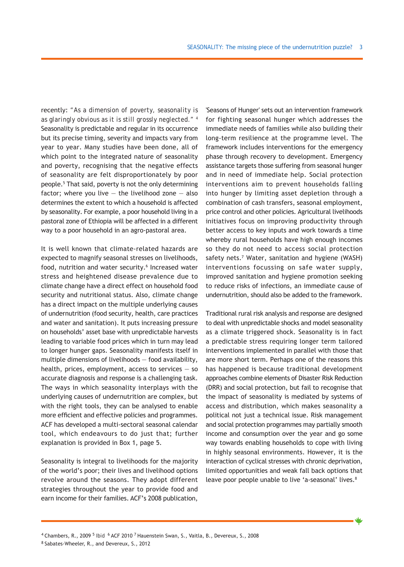recently: *"As a dimension of poverty, seasonality is as glaringly obvious as it is still grossly neglected." 4* Seasonality is predictable and regular in its occurrence but its precise timing, severity and impacts vary from year to year. Many studies have been done, all of which point to the integrated nature of seasonality and poverty, recognising that the negative effects of seasonality are felt disproportionately by poor people.5 That said, poverty is not the only determining factor; where you live  $-$  the livelihood zone  $-$  also determines the extent to which a household is affected by seasonality. For example, a poor household living in a pastoral zone of Ethiopia will be affected in a different way to a poor household in an agro-pastoral area.

It is well known that climate-related hazards are expected to magnify seasonal stresses on livelihoods, food, nutrition and water security.<sup>6</sup> Increased water stress and heightened disease prevalence due to climate change have a direct effect on household food security and nutritional status. Also, climate change has a direct impact on the multiple underlying causes of undernutrition (food security, health, care practices and water and sanitation). It puts increasing pressure on households' asset base with unpredictable harvests leading to variable food prices which in turn may lead to longer hunger gaps. Seasonality manifests itself in multiple dimensions of livelihoods — food availability, health, prices, employment, access to services — so accurate diagnosis and response is a challenging task. The ways in which seasonality interplays with the underlying causes of undernutrition are complex, but with the right tools, they can be analysed to enable more efficient and effective policies and programmes. ACF has developed a multi-sectoral seasonal calendar tool, which endeavours to do just that; further explanation is provided in Box 1, page 5.

Seasonality is integral to livelihoods for the majority of the world's poor; their lives and livelihood options revolve around the seasons. They adopt different strategies throughout the year to provide food and earn income for their families. ACF's 2008 publication,

'Seasons of Hunger' sets out an intervention framework for fighting seasonal hunger which addresses the immediate needs of families while also building their long-term resilience at the programme level. The framework includes interventions for the emergency phase through recovery to development. Emergency assistance targets those suffering from seasonal hunger and in need of immediate help. Social protection interventions aim to prevent households falling into hunger by limiting asset depletion through a combination of cash transfers, seasonal employment, price control and other policies. Agricultural livelihoods initiatives focus on improving productivity through better access to key inputs and work towards a time whereby rural households have high enough incomes so they do not need to access social protection safety nets.<sup>7</sup> Water, sanitation and hygiene (WASH) interventions focussing on safe water supply, improved sanitation and hygiene promotion seeking to reduce risks of infections, an immediate cause of undernutrition, should also be added to the framework.

Traditional rural risk analysis and response are designed to deal with unpredictable shocks and model seasonality as a climate triggered shock. Seasonality is in fact a predictable stress requiring longer term tailored interventions implemented in parallel with those that are more short term. Perhaps one of the reasons this has happened is because traditional development approaches combine elements of Disaster Risk Reduction (DRR) and social protection, but fail to recognise that the impact of seasonality is mediated by systems of access and distribution, which makes seasonality a political not just a technical issue. Risk management and social protection programmes may partially smooth income and consumption over the year and go some way towards enabling households to cope with living in highly seasonal environments. However, it is the interaction of cyclical stresses with chronic deprivation, limited opportunities and weak fall back options that leave poor people unable to live 'a-seasonal' lives.<sup>8</sup>

 $^4$  Chambers, R., 2009  $^5$  Ibid  $\,$   $^6$  ACF 2010  $^7$  Hauenstein Swan, S., Vaitla, B., Devereux, S., 2008 <sup>8</sup> Sabates-Wheeler, R., and Devereux, S., 2012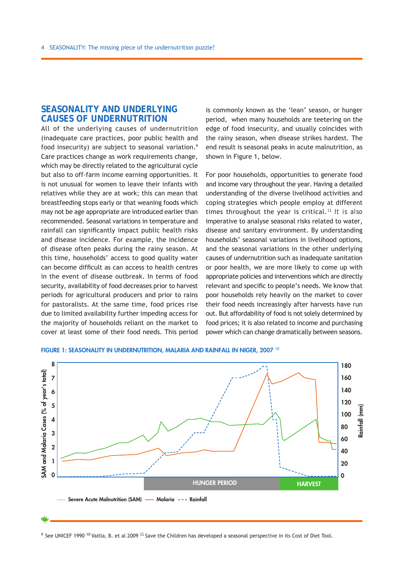## **Seasonality and underlying causes of undernutrition**

All of the underlying causes of undernutrition (inadequate care practices, poor public health and food insecurity) are subject to seasonal variation.9 Care practices change as work requirements change, which may be directly related to the agricultural cycle but also to off-farm income earning opportunities. It is not unusual for women to leave their infants with relatives while they are at work; this can mean that breastfeeding stops early or that weaning foods which may not be age appropriate are introduced earlier than recommended. Seasonal variations in temperature and rainfall can significantly impact public health risks and disease incidence. For example, the incidence of disease often peaks during the rainy season. At this time, households' access to good quality water can become difficult as can access to health centres in the event of disease outbreak. In terms of food security, availability of food decreases prior to harvest periods for agricultural producers and prior to rains for pastoralists. At the same time, food prices rise due to limited availability further impeding access for the majority of households reliant on the market to cover at least some of their food needs. This period

is commonly known as the 'lean' season, or hunger period, when many households are teetering on the edge of food insecurity, and usually coincides with the rainy season, when disease strikes hardest. The end result is seasonal peaks in acute malnutrition, as shown in Figure 1, below.

For poor households, opportunities to generate food and income vary throughout the year. Having a detailed understanding of the diverse livelihood activities and coping strategies which people employ at different times throughout the year is critical.<sup>11</sup> It is also imperative to analyse seasonal risks related to water, disease and sanitary environment. By understanding households' seasonal variations in livelihood options, and the seasonal variations in the other underlying causes of undernutrition such as inadequate sanitation or poor health, we are more likely to come up with appropriate policies and interventions which are directly relevant and specific to people's needs. We know that poor households rely heavily on the market to cover their food needs increasingly after harvests have run out. But affordability of food is not solely determined by food prices; it is also related to income and purchasing power which can change dramatically between seasons.



#### FIGURE 1: SEASONALITY IN UNDERNUTRITION, MALARIA AND RAINFALL IN NIGER, 2007<sup>10</sup>

 $9$  See UNICEF 1990 <sup>10</sup> Vaitla, B. et al 2009 <sup>11</sup> Save the Children has developed a seasonal perspective in its Cost of Diet Tool.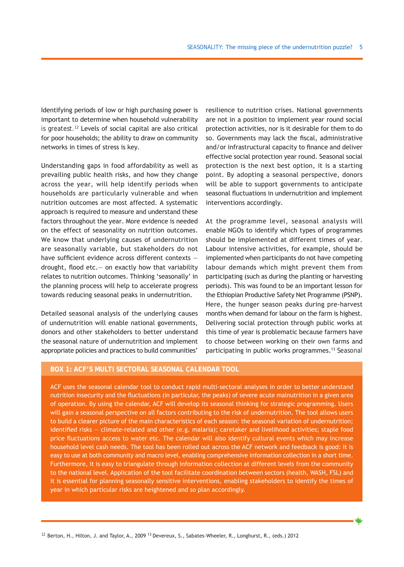Identifying periods of low or high purchasing power is important to determine when household vulnerability is greatest.12 Levels of social capital are also critical for poor households; the ability to draw on community networks in times of stress is key.

Understanding gaps in food affordability as well as prevailing public health risks, and how they change across the year, will help identify periods when households are particularly vulnerable and when nutrition outcomes are most affected. A systematic approach is required to measure and understand these factors throughout the year. More evidence is needed on the effect of seasonality on nutrition outcomes. We know that underlying causes of undernutrition are seasonally variable, but stakeholders do not have sufficient evidence across different contexts drought, flood etc.— on exactly how that variability relates to nutrition outcomes. Thinking 'seasonally' in the planning process will help to accelerate progress towards reducing seasonal peaks in undernutrition.

Detailed seasonal analysis of the underlying causes of undernutrition will enable national governments, donors and other stakeholders to better understand the seasonal nature of undernutrition and implement appropriate policies and practices to build communities'

resilience to nutrition crises. National governments are not in a position to implement year round social protection activities, nor is it desirable for them to do so. Governments may lack the fiscal, administrative and/or infrastructural capacity to finance and deliver effective social protection year round. Seasonal social protection is the next best option, it is a starting point. By adopting a seasonal perspective, donors will be able to support governments to anticipate seasonal fluctuations in undernutrition and implement interventions accordingly.

At the programme level, seasonal analysis will enable NGOs to identify which types of programmes should be implemented at different times of year. Labour intensive activities, for example, should be implemented when participants do not have competing labour demands which might prevent them from participating (such as during the planting or harvesting periods). This was found to be an important lesson for the Ethiopian Productive Safety Net Programme (PSNP). Here, the hunger season peaks during pre-harvest months when demand for labour on the farm is highest. Delivering social protection through public works at this time of year is problematic because farmers have to choose between working on their own farms and participating in public works programmes.<sup>13</sup> Seasonal

## **BOX 1: ACF's multi sectoral seasonal calendar tool**

ACF uses the seasonal calendar tool to conduct rapid multi-sectoral analyses in order to better understand nutrition insecurity and the fluctuations (in particular, the peaks) of severe acute malnutrition in a given area of operation. By using the calendar, ACF will develop its seasonal thinking for strategic programming. Users will gain a seasonal perspective on all factors contributing to the risk of undernutrition. The tool allows users to build a clearer picture of the main characteristics of each season: the seasonal variation of undernutrition; identified risks — climate-related and other (e.g. malaria); caretaker and livelihood activities; staple food price fluctuations access to water etc. The calendar will also identify cultural events which may increase household level cash needs. The tool has been rolled out across the ACF network and feedback is good: it is easy to use at both community and macro level, enabling comprehensive information collection in a short time. Furthermore, it is easy to triangulate through information collection at different levels from the community to the national level. Application of the tool facilitate coordination between sectors (health, WASH, FSL) and it is essential for planning seasonally sensitive interventions, enabling stakeholders to identify the times of year in which particular risks are heightened and so plan accordingly.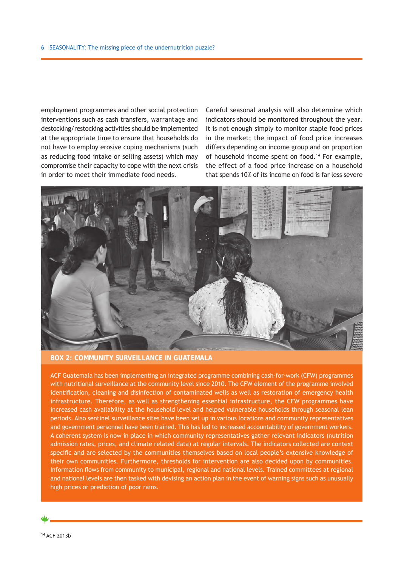employment programmes and other social protection interventions such as cash transfers, *warrantage* and destocking/restocking activities should be implemented at the appropriate time to ensure that households do not have to employ erosive coping mechanisms (such as reducing food intake or selling assets) which may compromise their capacity to cope with the next crisis in order to meet their immediate food needs.

Careful seasonal analysis will also determine which indicators should be monitored throughout the year. It is not enough simply to monitor staple food prices in the market; the impact of food price increases differs depending on income group and on proportion of household income spent on food.<sup>14</sup> For example, the effect of a food price increase on a household that spends 10% of its income on food is far less severe



**BOX 2: Community surveillance in Guatemala**

ACF Guatemala has been implementing an integrated programme combining cash-for-work (CFW) programmes with nutritional surveillance at the community level since 2010. The CFW element of the programme involved identification, cleaning and disinfection of contaminated wells as well as restoration of emergency health infrastructure. Therefore, as well as strengthening essential infrastructure, the CFW programmes have increased cash availability at the household level and helped vulnerable households through seasonal lean periods. Also sentinel surveillance sites have been set up in various locations and community representatives and government personnel have been trained. This has led to increased accountability of government workers. A coherent system is now in place in which community representatives gather relevant indicators (nutrition admission rates, prices, and climate related data) at regular intervals. The indicators collected are context specific and are selected by the communities themselves based on local people's extensive knowledge of their own communities. Furthermore, thresholds for intervention are also decided upon by communities. Information flows from community to municipal, regional and national levels. Trained committees at regional and national levels are then tasked with devising an action plan in the event of warning signs such as unusually high prices or prediction of poor rains.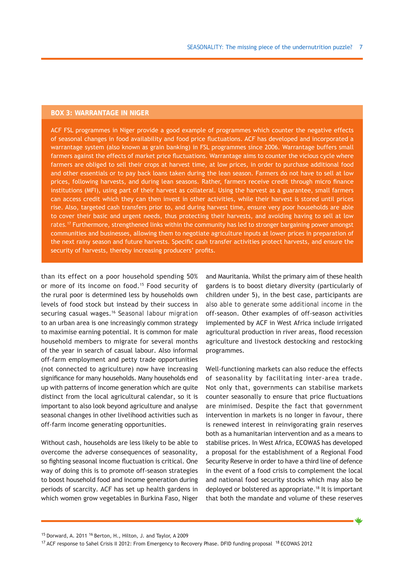## **box 3: Warrantage in Niger**

ACF FSL programmes in Niger provide a good example of programmes which counter the negative effects of seasonal changes in food availability and food price fluctuations. ACF has developed and incorporated a warrantage system (also known as grain banking) in FSL programmes since 2006. Warrantage buffers small farmers against the effects of market price fluctuations. Warrantage aims to counter the vicious cycle where farmers are obliged to sell their crops at harvest time, at low prices, in order to purchase additional food and other essentials or to pay back loans taken during the lean season. Farmers do not have to sell at low prices, following harvests, and during lean seasons. Rather, farmers receive credit through micro finance institutions (MFI), using part of their harvest as collateral. Using the harvest as a guarantee, small farmers can access credit which they can then invest in other activities, while their harvest is stored until prices rise. Also, targeted cash transfers prior to, and during harvest time, ensure very poor households are able to cover their basic and urgent needs, thus protecting their harvests, and avoiding having to sell at low rates.17 Furthermore, strengthened links within the community has led to stronger bargaining power amongst communities and businesses, allowing them to negotiate agriculture inputs at lower prices in preparation of the next rainy season and future harvests. Specific cash transfer activities protect harvests, and ensure the security of harvests, thereby increasing producers' profits.

than its effect on a poor household spending 50% or more of its income on food.15 Food security of the rural poor is determined less by households own levels of food stock but instead by their success in securing casual wages.<sup>16</sup> Seasonal labour migration to an urban area is one increasingly common strategy to maximise earning potential. It is common for male household members to migrate for several months of the year in search of casual labour. Also informal off-farm employment and petty trade opportunities (not connected to agriculture) now have increasing significance for many households. Many households end up with patterns of income generation which are quite distinct from the local agricultural calendar, so it is important to also look beyond agriculture and analyse seasonal changes in other livelihood activities such as off-farm income generating opportunities.

Without cash, households are less likely to be able to overcome the adverse consequences of seasonality, so fighting seasonal income fluctuation is critical. One way of doing this is to promote off-season strategies to boost household food and income generation during periods of scarcity. ACF has set up health gardens in which women grow vegetables in Burkina Faso, Niger and Mauritania. Whilst the primary aim of these health gardens is to boost dietary diversity (particularly of children under 5), in the best case, participants are also able to generate some additional income in the off-season. Other examples of off-season activities implemented by ACF in West Africa include irrigated agricultural production in river areas, flood recession agriculture and livestock destocking and restocking programmes.

Well-functioning markets can also reduce the effects of seasonality by facilitating inter-area trade. Not only that, governments can stabilise markets counter seasonally to ensure that price fluctuations are minimised. Despite the fact that government intervention in markets is no longer in favour, there is renewed interest in reinvigorating grain reserves both as a humanitarian intervention and as a means to stabilise prices. In West Africa, ECOWAS has developed a proposal for the establishment of a Regional Food Security Reserve in order to have a third line of defence in the event of a food crisis to complement the local and national food security stocks which may also be deployed or bolstered as appropriate.<sup>18</sup> It is important that both the mandate and volume of these reserves

<sup>15</sup> Dorward, A. 2011<sup>16</sup> Berton, H., Hilton, J. and Taylor, A 2009

<sup>&</sup>lt;sup>17</sup> ACF response to Sahel Crisis II 2012: From Emergency to Recovery Phase. DFID funding proposal <sup>18</sup> ECOWAS 2012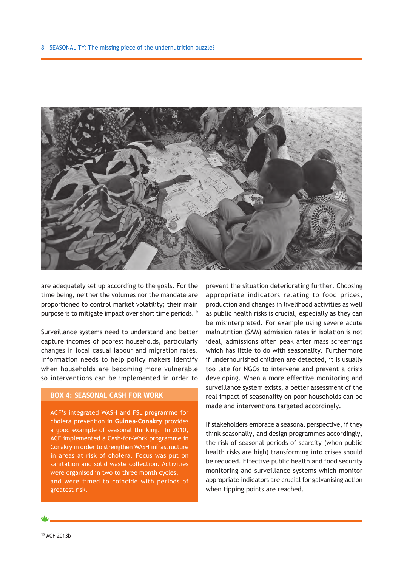

are adequately set up according to the goals. For the time being, neither the volumes nor the mandate are proportioned to control market volatility; their main purpose is to mitigate impact over short time periods.19

Surveillance systems need to understand and better capture incomes of poorest households, particularly changes in local casual labour and migration rates. Information needs to help policy makers identify when households are becoming more vulnerable so interventions can be implemented in order to

## **BOX 4: Seasonal cash for work**

ACF's integrated WASH and FSL programme for cholera prevention in **Guinea-Conakry** provides a good example of seasonal thinking. In 2010, ACF implemented a Cash-for-Work programme in Conakry in order to strengthen WASH infrastructure in areas at risk of cholera. Focus was put on sanitation and solid waste collection. Activities were organised in two to three month cycles, and were timed to coincide with periods of greatest risk.

prevent the situation deteriorating further. Choosing appropriate indicators relating to food prices, production and changes in livelihood activities as well as public health risks is crucial, especially as they can be misinterpreted. For example using severe acute malnutrition (SAM) admission rates in isolation is not ideal, admissions often peak after mass screenings which has little to do with seasonality. Furthermore if undernourished children are detected, it is usually too late for NGOs to intervene and prevent a crisis developing. When a more effective monitoring and surveillance system exists, a better assessment of the real impact of seasonality on poor households can be made and interventions targeted accordingly.

If stakeholders embrace a seasonal perspective, if they think seasonally, and design programmes accordingly, the risk of seasonal periods of scarcity (when public health risks are high) transforming into crises should be reduced. Effective public health and food security monitoring and surveillance systems which monitor appropriate indicators are crucial for galvanising action when tipping points are reached.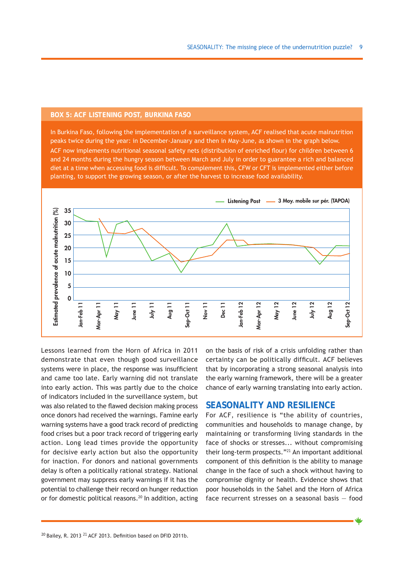#### **BOX 5: ACF Listening Post, Burkina Faso**

In Burkina Faso, following the implementation of a surveillance system, ACF realised that acute malnutrition peaks twice during the year: in December-January and then in May-June, as shown in the graph below. ACF now implements nutritional seasonal safety nets (distribution of enriched flour) for children between 6 and 24 months during the hungry season between March and July in order to guarantee a rich and balanced diet at a time when accessing food is difficult. To complement this, CFW or CFT is implemented either before planting, to support the growing season, or after the harvest to increase food availability.



Lessons learned from the Horn of Africa in 2011 demonstrate that even though good surveillance systems were in place, the response was insufficient and came too late. Early warning did not translate into early action. This was partly due to the choice of indicators included in the surveillance system, but was also related to the flawed decision making process once donors had received the warnings. Famine early warning systems have a good track record of predicting food crises but a poor track record of triggering early action. Long lead times provide the opportunity for decisive early action but also the opportunity for inaction. For donors and national governments delay is often a politically rational strategy. National government may suppress early warnings if it has the potential to challenge their record on hunger reduction or for domestic political reasons.<sup>20</sup> In addition, acting on the basis of risk of a crisis unfolding rather than certainty can be politically difficult. ACF believes that by incorporating a strong seasonal analysis into the early warning framework, there will be a greater chance of early warning translating into early action.

## **Seasonality and resilience**

For ACF, resilience is "the ability of countries, communities and households to manage change, by maintaining or transforming living standards in the face of shocks or stresses... without compromising their long-term prospects."<sup>21</sup> An important additional component of this definition is the ability to manage change in the face of such a shock without having to compromise dignity or health. Evidence shows that poor households in the Sahel and the Horn of Africa face recurrent stresses on a seasonal basis — food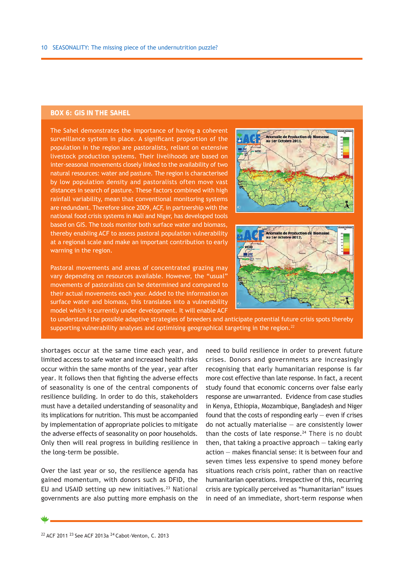## **BOX 6: GIS in the Sahel**

The Sahel demonstrates the importance of having a coherent surveillance system in place. A significant proportion of the population in the region are pastoralists, reliant on extensive livestock production systems. Their livelihoods are based on inter-seasonal movements closely linked to the availability of two natural resources: water and pasture. The region is characterised by low population density and pastoralists often move vast distances in search of pasture. These factors combined with high rainfall variability, mean that conventional monitoring systems are redundant. Therefore since 2009, ACF, in partnership with the national food crisis systems in Mali and Niger, has developed tools based on GIS. The tools monitor both surface water and biomass, thereby enabling ACF to assess pastoral population vulnerability at a regional scale and make an important contribution to early warning in the region.

Pastoral movements and areas of concentrated grazing may vary depending on resources available. However, the "usual" movements of pastoralists can be determined and compared to their actual movements each year. Added to the information on surface water and biomass, this translates into a vulnerability model which is currently under development. It will enable ACF





to understand the possible adaptive strategies of breeders and anticipate potential future crisis spots thereby supporting vulnerability analyses and optimising geographical targeting in the region.<sup>22</sup>

shortages occur at the same time each year, and limited access to safe water and increased health risks occur within the same months of the year, year after year. It follows then that fighting the adverse effects of seasonality is one of the central components of resilience building. In order to do this, stakeholders must have a detailed understanding of seasonality and its implications for nutrition. This must be accompanied by implementation of appropriate policies to mitigate the adverse effects of seasonality on poor households. Only then will real progress in building resilience in the long-term be possible.

Over the last year or so, the resilience agenda has gained momentum, with donors such as DFID, the EU and USAID setting up new initiatives. $23$  National governments are also putting more emphasis on the need to build resilience in order to prevent future crises. Donors and governments are increasingly recognising that early humanitarian response is far more cost effective than late response. In fact, a recent study found that economic concerns over false early response are unwarranted. Evidence from case studies in Kenya, Ethiopia, Mozambique, Bangladesh and Niger found that the costs of responding early  $-$  even if crises do not actually materialise  $-$  are consistently lower than the costs of late response. $24$  There is no doubt then, that taking a proactive approach — taking early action — makes financial sense: it is between four and seven times less expensive to spend money before situations reach crisis point, rather than on reactive humanitarian operations. Irrespective of this, recurring crisis are typically perceived as "humanitarian" issues in need of an immediate, short-term response when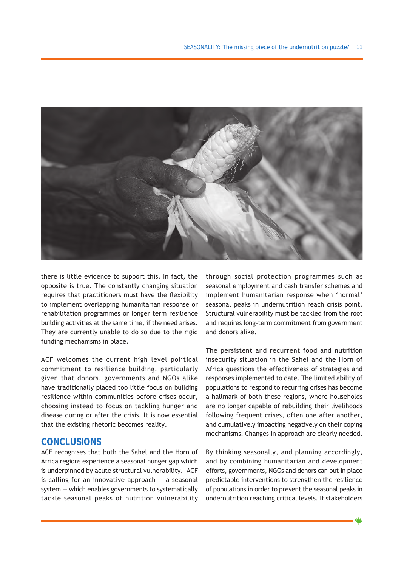

there is little evidence to support this. In fact, the opposite is true. The constantly changing situation requires that practitioners must have the flexibility to implement overlapping humanitarian response or rehabilitation programmes or longer term resilience building activities at the same time, if the need arises. They are currently unable to do so due to the rigid funding mechanisms in place.

ACF welcomes the current high level political commitment to resilience building, particularly given that donors, governments and NGOs alike have traditionally placed too little focus on building resilience within communities before crises occur, choosing instead to focus on tackling hunger and disease during or after the crisis. It is now essential that the existing rhetoric becomes reality.

## **CONCLUSIONS**

ACF recognises that both the Sahel and the Horn of Africa regions experience a seasonal hunger gap which is underpinned by acute structural vulnerability. ACF is calling for an innovative approach  $-$  a seasonal system — which enables governments to systematically tackle seasonal peaks of nutrition vulnerability

through social protection programmes such as seasonal employment and cash transfer schemes and implement humanitarian response when 'normal' seasonal peaks in undernutrition reach crisis point. Structural vulnerability must be tackled from the root and requires long-term commitment from government and donors alike.

The persistent and recurrent food and nutrition insecurity situation in the Sahel and the Horn of Africa questions the effectiveness of strategies and responses implemented to date. The limited ability of populations to respond to recurring crises has become a hallmark of both these regions, where households are no longer capable of rebuilding their livelihoods following frequent crises, often one after another, and cumulatively impacting negatively on their coping mechanisms. Changes in approach are clearly needed.

By thinking seasonally, and planning accordingly, and by combining humanitarian and development efforts, governments, NGOs and donors can put in place predictable interventions to strengthen the resilience of populations in order to prevent the seasonal peaks in undernutrition reaching critical levels. If stakeholders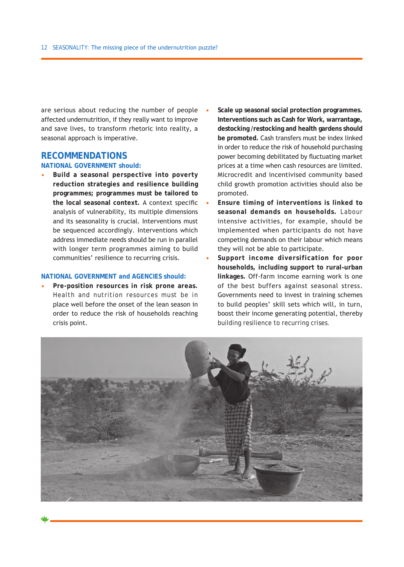are serious about reducing the number of people affected undernutrition, if they really want to improve and save lives, to transform rhetoric into reality, a seasonal approach is imperative.

## **RECOMMENDATIONS**

## **NATIONAL GOVERNMENT should:**

**• Build a seasonal perspective into poverty reduction strategies and resilience building programmes; programmes must be tailored to the local seasonal context.** A context specific analysis of vulnerability, its multiple dimensions and its seasonality is crucial. Interventions must be sequenced accordingly. Interventions which address immediate needs should be run in parallel with longer term programmes aiming to build communities' resilience to recurring crisis.

#### **NATIONAL GOVERNMENT and AGENCIES should:**

**• Pre-position resources in risk prone areas.** Health and nutrition resources must be in place well before the onset of the lean season in order to reduce the risk of households reaching crisis point.

- **• Scale up seasonal social protection programmes. Interventions such as Cash for Work, warrantage, destocking /restocking and health gardens should be promoted.** Cash transfers must be index linked in order to reduce the risk of household purchasing power becoming debilitated by fluctuating market prices at a time when cash resources are limited. Microcredit and incentivised community based child growth promotion activities should also be promoted.
- **• Ensure timing of interventions is linked to seasonal demands on households.** Labour intensive activities, for example, should be implemented when participants do not have competing demands on their labour which means they will not be able to participate.
- **• Support income diversification for poor households, including support to rural–urban linkages.** Off-farm income earning work is one of the best buffers against seasonal stress. Governments need to invest in training schemes to build peoples' skill sets which will, in turn, boost their income generating potential, thereby building resilience to recurring crises.

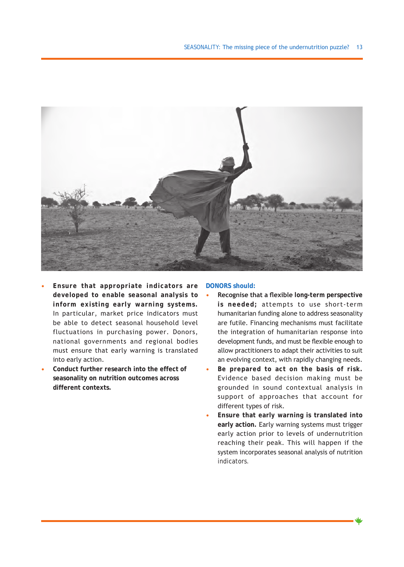

- **• Ensure that appropriate indicators are developed to enable seasonal analysis to inform existing early warning systems.** In particular, market price indicators must be able to detect seasonal household level fluctuations in purchasing power. Donors, national governments and regional bodies must ensure that early warning is translated into early action.
- **• Conduct further research into the effect of seasonality on nutrition outcomes across different contexts.**

#### **DONORS should:**

- **• Recognise that a flexible** *long-term* **perspective is needed;** attempts to use short-term humanitarian funding alone to address seasonality are futile. Financing mechanisms must facilitate the integration of humanitarian response into development funds, and must be flexible enough to allow practitioners to adapt their activities to suit an evolving context, with rapidly changing needs.
- **• Be prepared to act on the basis of risk.** Evidence based decision making must be grounded in sound contextual analysis in support of approaches that account for different types of risk.
- **• Ensure that early warning is translated into early action.** Early warning systems must trigger early action prior to levels of undernutrition reaching their peak. This will happen if the system incorporates seasonal analysis of nutrition indicators.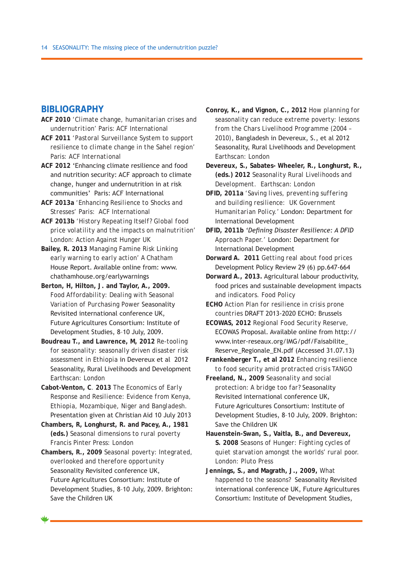## **BIBLIOGRAPHY**

- **ACF 2010** *'Climate change, humanitarian crises and undernutrition'* Paris: ACF International
- **ACF 2011** *'Pastoral Surveillance System to support resilience to climate change in the Sahel region'*  Paris: *ACF International*
- **ACF 2012** 'Enhancing climate resilience and food and nutrition security: ACF approach to climate change, hunger and undernutrition in at risk communities' Paris: ACF International
- **ACF 2013a** *'Enhancing Resilience to Shocks and Stresses'* Paris: ACF International
- **ACF 2013b** *'History Repeating Itself? Global food price volatility and the impacts on malnutrition'*  London: Action Against Hunger UK
- **Bailey, R. 2013** *Managing Famine Risk Linking early warning to early action'* A Chatham House Report. Available online from: www. chathamhouse.org/earlywarnings
- **Berton, H, Hilton, J. and Taylor, A., 2009.** *Food Affordability: Dealing with Seasonal Variation of Purchasing Power* Seasonality Revisited international conference UK, Future Agricultures Consortium: Institute of Development Studies, 8–10 July, 2009.
- **Boudreau T., and Lawrence, M, 2012** *Re-tooling for seasonality: seasonally driven disaster risk assessment in Ethiopia* in Devereux et al 2012 Seasonality, Rural Livelihoods and Development Earthscan: London
- **Cabot–Venton, C**. **2013** *The Economics of Early Response and Resilience: Evidence from Kenya, Ethiopia, Mozambique, Niger and Bangladesh*. Presentation given at Christian Aid 10 July 2013
- **Chambers, R, Longhurst, R. and Pacey, A., 1981 (eds.)** *Seasonal dimensions to rural poverty* Francis Pinter Press: London

**Chambers, R., 2009** *Seasonal poverty: Integrated, overlooked and therefore opportunity* Seasonality Revisited conference UK, Future Agricultures Consortium: Institute of Development Studies, 8–10 July, 2009. Brighton: Save the Children UK

**Conroy, K., and Vignon, C., 2012** *How planning for seasonality can reduce extreme poverty: lessons from the Chars Livelihood Programme (2004 – 2010)*, Bangladesh in Devereux, S., et al 2012 Seasonality, Rural Livelihoods and Development Earthscan: London

**Devereux, S., Sabates- Wheeler, R., Longhurst, R., (eds.) 2012** *Seasonality Rural Livelihoods and Development.* Earthscan: London

**DFID, 2011a** *'Saving lives, preventing suffering and building resilience: UK Government Humanitarian Policy.'* London: Department for International Development

**DFID, 2011b** *'Defining Disaster Resilience: A DFID Approach Paper.'* London: Department for International Development

**Dorward A. 2011** *Getting real about food prices*  Development Policy Review 29 (6) pp.647-664

- **Dorward A., 2013.** Agricultural labour productivity, food prices and sustainable development impacts and indicators. *Food Policy*
- **ECHO** *Action Plan for resilience in crisis prone countries* DRAFT 2013-2020 ECHO: Brussels
- **ECOWAS, 2012** *Regional Food Security Reserve,*  ECOWAS Proposal. Available online from http:// www.inter-reseaux.org/IMG/pdf/Faisabilite\_ Reserve\_Regionale\_EN.pdf (Accessed 31.07.13)
- **Frankenberger T., et al 2012** *Enhancing resilience to food security amid protracted crisis* TANGO
- **Freeland, N., 2009** *Seasonality and social protection: A bridge too far?* Seasonality Revisited international conference UK, Future Agricultures Consortium: Institute of Development Studies, 8–10 July, 2009. Brighton: Save the Children UK
- **Hauenstein-Swan, S., Vaitla, B., and Devereux, S. 2008** *Seasons of Hunger: Fighting cycles of quiet starvation amongst the worlds' rural poor.* London: Pluto Press
- **Jennings, S., and Magrath, J., 2009,** *What happened to the seasons?* Seasonality Revisited international conference UK, Future Agricultures Consortium: Institute of Development Studies,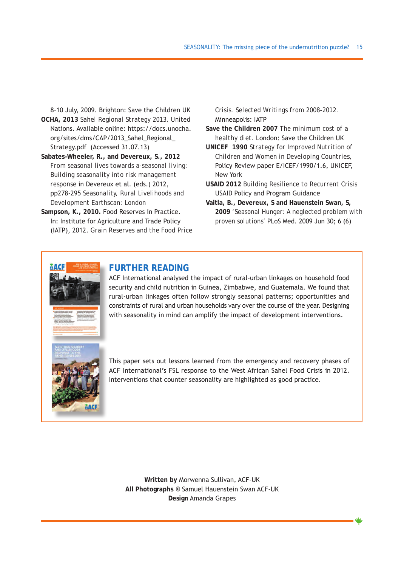8–10 July, 2009. Brighton: Save the Children UK

- **OCHA, 2013** *Sahel Regional Strategy 2013,* United Nations. Available online: https://docs.unocha. org/sites/dms/CAP/2013\_Sahel\_Regional\_ Strategy.pdf (Accessed 31.07.13)
- **Sabates–Wheeler, R., and Devereux, S., 2012** *From seasonal lives towards a-seasonal living: Building seasonality into risk management response* in Devereux et al. (eds.) 2012, pp278-295 *Seasonality, Rural Livelihoods and Development* Earthscan: London
- **Sampson, K., 2010.** Food Reserves in Practice. In: Institute for Agriculture and Trade Policy (IATP), 2012. *Grain Reserves and the Food Price*

*Crisis. Selected Writings from 2008-2012.*  Minneapolis: IATP

- **Save the Children 2007** *The minimum cost of a healthy diet.* London: Save the Children UK
- **UNICEF 1990** *Strategy for Improved Nutrition of Children and Women in Developing Countries,* Policy Review paper E/ICEF/1990/1.6, UNICEF, New York
- **USAID 2012** *Building Resilience to Recurrent Crisis*  USAID Policy and Program Guidance
- **Vaitla, B., Devereux, S and Hauenstein Swan, S, 2009** *'Seasonal Hunger: A neglected problem with proven solutions'* PLoS Med. 2009 Jun 30; 6 (6)



## **Further reading**

ACF International analysed the impact of rural-urban linkages on household food security and child nutrition in Guinea, Zimbabwe, and Guatemala. We found that rural-urban linkages often follow strongly seasonal patterns; opportunities and constraints of rural and urban households vary over the course of the year. Designing with seasonality in mind can amplify the impact of development interventions.



This paper sets out lessons learned from the emergency and recovery phases of ACF International's FSL response to the West African Sahel Food Crisis in 2012. Interventions that counter seasonality are highlighted as good practice.

**Written by** Morwenna Sullivan, ACF-UK **All Photographs ©** Samuel Hauenstein Swan ACF-UK **Design** Amanda Grapes